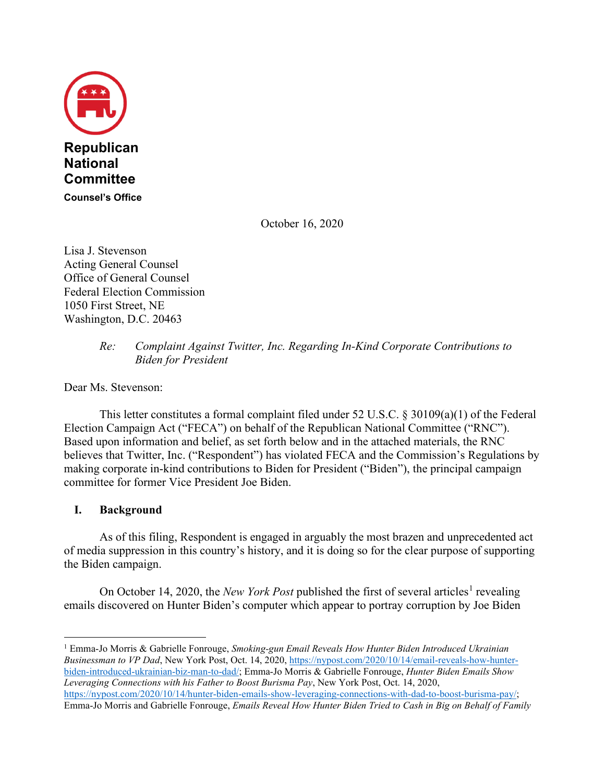

October 16, 2020

Lisa J. Stevenson Acting General Counsel Office of General Counsel Federal Election Commission 1050 First Street, NE Washington, D.C. 20463

#### *Re: Complaint Against Twitter, Inc. Regarding In-Kind Corporate Contributions to Biden for President*

Dear Ms. Stevenson:

This letter constitutes a formal complaint filed under 52 U.S.C. § 30109(a)(1) of the Federal Election Campaign Act ("FECA") on behalf of the Republican National Committee ("RNC"). Based upon information and belief, as set forth below and in the attached materials, the RNC believes that Twitter, Inc. ("Respondent") has violated FECA and the Commission's Regulations by making corporate in-kind contributions to Biden for President ("Biden"), the principal campaign committee for former Vice President Joe Biden.

## **I. Background**

As of this filing, Respondent is engaged in arguably the most brazen and unprecedented act of media suppression in this country's history, and it is doing so for the clear purpose of supporting the Biden campaign.

On October 14, 2020, the *New York Post* published the first of several articles<sup>1</sup> revealing emails discovered on Hunter Biden's computer which appear to portray corruption by Joe Biden

<sup>1</sup> Emma-Jo Morris & Gabrielle Fonrouge, *Smoking-gun Email Reveals How Hunter Biden Introduced Ukrainian Businessman to VP Dad*, New York Post, Oct. 14, 2020, https://nypost.com/2020/10/14/email-reveals-how-hunterbiden-introduced-ukrainian-biz-man-to-dad/; Emma-Jo Morris & Gabrielle Fonrouge, *Hunter Biden Emails Show Leveraging Connections with his Father to Boost Burisma Pay*, New York Post, Oct. 14, 2020, https://nypost.com/2020/10/14/hunter-biden-emails-show-leveraging-connections-with-dad-to-boost-burisma-pay/; Emma-Jo Morris and Gabrielle Fonrouge, *Emails Reveal How Hunter Biden Tried to Cash in Big on Behalf of Family*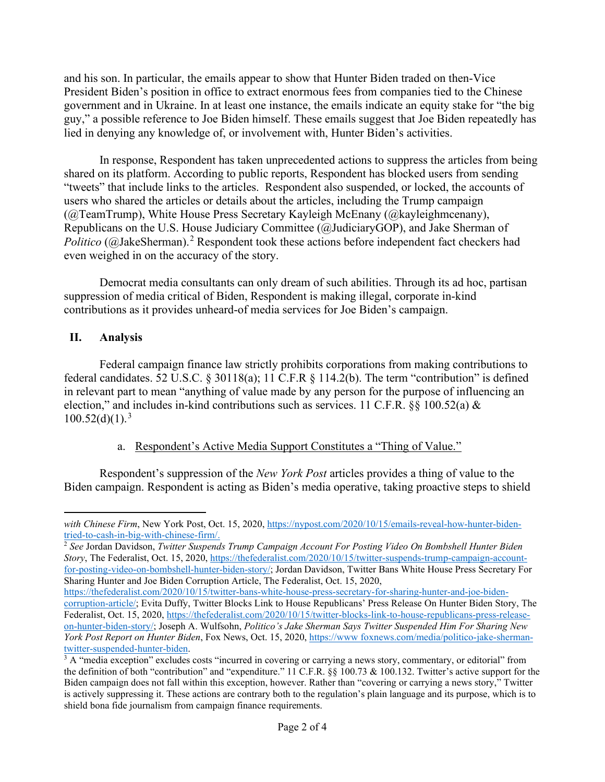and his son. In particular, the emails appear to show that Hunter Biden traded on then-Vice President Biden's position in office to extract enormous fees from companies tied to the Chinese government and in Ukraine. In at least one instance, the emails indicate an equity stake for "the big guy," a possible reference to Joe Biden himself. These emails suggest that Joe Biden repeatedly has lied in denying any knowledge of, or involvement with, Hunter Biden's activities.

In response, Respondent has taken unprecedented actions to suppress the articles from being shared on its platform. According to public reports, Respondent has blocked users from sending "tweets" that include links to the articles. Respondent also suspended, or locked, the accounts of users who shared the articles or details about the articles, including the Trump campaign (@TeamTrump), White House Press Secretary Kayleigh McEnany (@kayleighmcenany), Republicans on the U.S. House Judiciary Committee (@JudiciaryGOP), and Jake Sherman of Politico (@JakeSherman).<sup>2</sup> Respondent took these actions before independent fact checkers had even weighed in on the accuracy of the story.

Democrat media consultants can only dream of such abilities. Through its ad hoc, partisan suppression of media critical of Biden, Respondent is making illegal, corporate in-kind contributions as it provides unheard-of media services for Joe Biden's campaign.

# **II. Analysis**

Federal campaign finance law strictly prohibits corporations from making contributions to federal candidates. 52 U.S.C. § 30118(a); 11 C.F.R § 114.2(b). The term "contribution" is defined in relevant part to mean "anything of value made by any person for the purpose of influencing an election," and includes in-kind contributions such as services. 11 C.F.R.  $\S$ § 100.52(a) &  $100.52(d)(1).<sup>3</sup>$ 

## a. Respondent's Active Media Support Constitutes a "Thing of Value."

Respondent's suppression of the *New York Post* articles provides a thing of value to the Biden campaign. Respondent is acting as Biden's media operative, taking proactive steps to shield

with Chinese Firm, New York Post, Oct. 15, 2020, https://nypost.com/2020/10/15/emails-reveal-how-hunter-bidentried-to-cash-in-big-with-chinese-firm/. 2 *See* Jordan Davidson, *Twitter Suspends Trump Campaign Account For Posting Video On Bombshell Hunter Biden* 

*Story*, The Federalist, Oct. 15, 2020, https://thefederalist.com/2020/10/15/twitter-suspends-trump-campaign-accountfor-posting-video-on-bombshell-hunter-biden-story/; Jordan Davidson, Twitter Bans White House Press Secretary For Sharing Hunter and Joe Biden Corruption Article, The Federalist, Oct. 15, 2020,

https://thefederalist.com/2020/10/15/twitter-bans-white-house-press-secretary-for-sharing-hunter-and-joe-bidencorruption-article/; Evita Duffy, Twitter Blocks Link to House Republicans' Press Release On Hunter Biden Story, The Federalist, Oct. 15, 2020, https://thefederalist.com/2020/10/15/twitter-blocks-link-to-house-republicans-press-releaseon-hunter-biden-story/; Joseph A. Wulfsohn, *Politico's Jake Sherman Says Twitter Suspended Him For Sharing New York Post Report on Hunter Biden*, Fox News, Oct. 15, 2020, https://www foxnews.com/media/politico-jake-sherman-

 $3$  A "media exception" excludes costs "incurred in covering or carrying a news story, commentary, or editorial" from the definition of both "contribution" and "expenditure." 11 C.F.R. §§ 100.73 & 100.132. Twitter's active support for the Biden campaign does not fall within this exception, however. Rather than "covering or carrying a news story," Twitter is actively suppressing it. These actions are contrary both to the regulation's plain language and its purpose, which is to shield bona fide journalism from campaign finance requirements.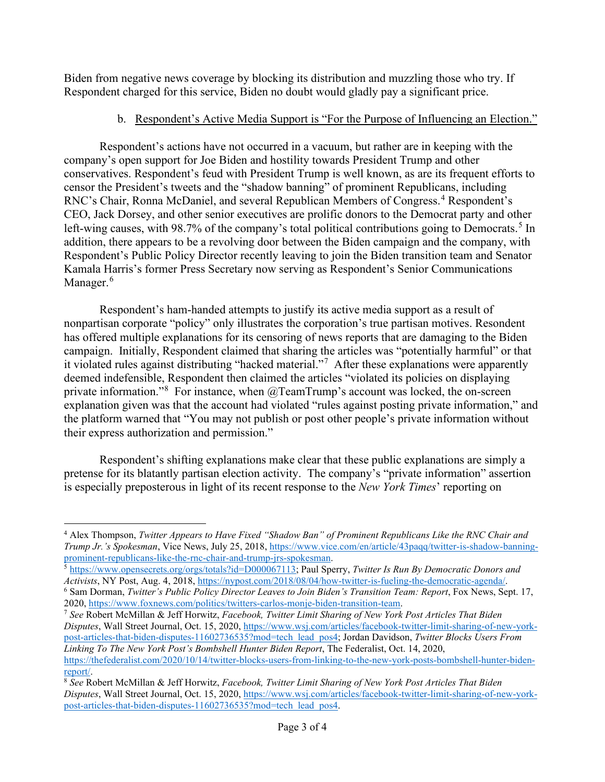Biden from negative news coverage by blocking its distribution and muzzling those who try. If Respondent charged for this service, Biden no doubt would gladly pay a significant price.

# b. Respondent's Active Media Support is "For the Purpose of Influencing an Election."

Respondent's actions have not occurred in a vacuum, but rather are in keeping with the company's open support for Joe Biden and hostility towards President Trump and other conservatives. Respondent's feud with President Trump is well known, as are its frequent efforts to censor the President's tweets and the "shadow banning" of prominent Republicans, including RNC's Chair, Ronna McDaniel, and several Republican Members of Congress.<sup>4</sup> Respondent's CEO, Jack Dorsey, and other senior executives are prolific donors to the Democrat party and other left-wing causes, with 98.7% of the company's total political contributions going to Democrats.<sup>5</sup> In addition, there appears to be a revolving door between the Biden campaign and the company, with Respondent's Public Policy Director recently leaving to join the Biden transition team and Senator Kamala Harris's former Press Secretary now serving as Respondent's Senior Communications Manager.<sup>6</sup>

Respondent's ham-handed attempts to justify its active media support as a result of nonpartisan corporate "policy" only illustrates the corporation's true partisan motives. Resondent has offered multiple explanations for its censoring of news reports that are damaging to the Biden campaign. Initially, Respondent claimed that sharing the articles was "potentially harmful" or that it violated rules against distributing "hacked material."<sup>7</sup> After these explanations were apparently deemed indefensible, Respondent then claimed the articles "violated its policies on displaying private information."<sup>8</sup> For instance, when @TeamTrump's account was locked, the on-screen explanation given was that the account had violated "rules against posting private information," and the platform warned that "You may not publish or post other people's private information without their express authorization and permission."

Respondent's shifting explanations make clear that these public explanations are simply a pretense for its blatantly partisan election activity. The company's "private information" assertion is especially preposterous in light of its recent response to the *New York Times*' reporting on

<sup>4</sup> Alex Thompson, *Twitter Appears to Have Fixed "Shadow Ban" of Prominent Republicans Like the RNC Chair and Trump Jr.'s Spokesman*, Vice News, July 25, 2018, https://www.vice.com/en/article/43paqq/twitter-is-shadow-banning-

prominent-republicans-like-the-rnc-chair-and-trump-jrs-spokesman.<br>
<sup>5</sup> https://www.opensecrets.org/orgs/totals?id=D000067113; Paul Sperry, *Twitter Is Run By Democratic Donors and*<br> *Activists*, NY Post, Aug. 4, 2018, http

<sup>&</sup>lt;sup>6</sup> Sam Dorman, Twitter's Public Policy Director Leaves to Join Biden's Transition Team: Report, Fox News, Sept. 17, 2020, https://www.foxnews.com/politics/twitters-carlos-monje-biden-transition-team. 7 *See* Robert McMillan & Jeff Horwitz, *Facebook, Twitter Limit Sharing of New York Post Articles That Biden* 

*Disputes*, Wall Street Journal, Oct. 15, 2020, https://www.wsj.com/articles/facebook-twitter-limit-sharing-of-new-yorkpost-articles-that-biden-disputes-11602736535?mod=tech lead pos4; Jordan Davidson, *Twitter Blocks Users From Linking To The New York Post's Bombshell Hunter Biden Report*, The Federalist, Oct. 14, 2020, https://thefederalist.com/2020/10/14/twitter-blocks-users-from-linking-to-the-new-york-posts-bombshell-hunter-bidenreport/. 8 *See* Robert McMillan & Jeff Horwitz, *Facebook, Twitter Limit Sharing of New York Post Articles That Biden* 

*Disputes*, Wall Street Journal, Oct. 15, 2020, https://www.wsj.com/articles/facebook-twitter-limit-sharing-of-new-yorkpost-articles-that-biden-disputes-11602736535?mod=tech lead pos4.